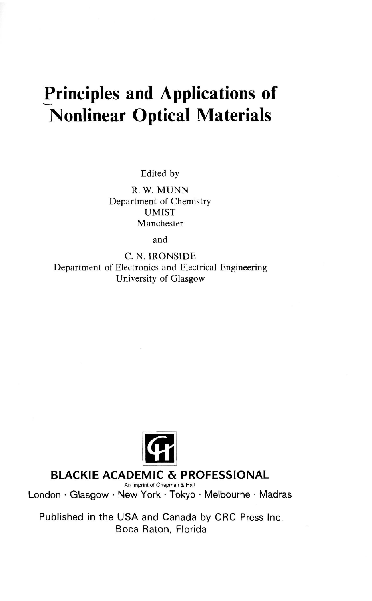## **Principles and Applications of Nonlinear Optical Materials**

Edited by

R. W. MUNN Department of Chemistry UMIST Manchester

and

C. N. IRONSIDE Department of Electronics and Electrical Engineering University of Glasgow



## **BLACKIE ACADEMIC & PROFESSIONAL**

London • Glasgow • New York • Tokyo • Melbourne • Madras

Published in the USA and Canada by CRC Press Inc. Boca Raton, Florida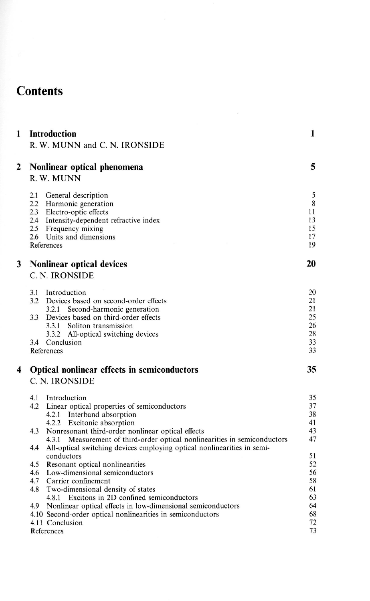## **Contents**

| 1 | Introduction<br>R. W. MUNN and C. N. IRONSIDE                                                                                                                                                                                     | 1                                    |
|---|-----------------------------------------------------------------------------------------------------------------------------------------------------------------------------------------------------------------------------------|--------------------------------------|
| 2 | Nonlinear optical phenomena<br>R. W. MUNN                                                                                                                                                                                         | 5                                    |
|   | 2.1<br>General description<br>2.2 Harmonic generation<br>2.3 Electro-optic effects<br>2.4 Intensity-dependent refractive index<br>2.5 Frequency mixing<br>2.6 Units and dimensions<br>References                                  | 5<br>8<br>11<br>13<br>15<br>17<br>19 |
| 3 | Nonlinear optical devices                                                                                                                                                                                                         | 20                                   |
|   | C. N. IRONSIDE                                                                                                                                                                                                                    |                                      |
|   | 3.1<br>Introduction<br>3.2<br>Devices based on second-order effects<br>3.2.1<br>Second-harmonic generation<br>3.3<br>Devices based on third-order effects<br>3.3.1<br>Soliton transmission<br>3.3.2 All-optical switching devices | 20<br>21<br>21<br>25<br>26<br>28     |
|   | 3.4 Conclusion<br>References                                                                                                                                                                                                      | 33<br>33                             |
| 4 | Optical nonlinear effects in semiconductors<br><b>C. N. IRONSIDE</b>                                                                                                                                                              | 35                                   |
|   | 4.1<br>Introduction<br>4.2<br>Linear optical properties of semiconductors<br>4.2.1 Interband absorption<br>4.2.2<br>Excitonic absorption<br>4.3<br>Nonresonant third-order nonlinear optical effects                              | 35<br>37<br>38<br>41<br>43           |
|   | Measurement of third-order optical nonlinearities in semiconductors<br>4.3.1<br>4.4<br>All-optical switching devices employing optical nonlinearities in semi-                                                                    | 47                                   |
|   | conductors<br>Resonant optical nonlinearities<br>4.5<br>Low-dimensional semiconductors<br>4.6<br>Carrier confinement<br>4.7<br>4.8<br>Two-dimensional density of states                                                           | 51<br>52<br>56<br>58<br>61           |
|   | 4.8.1 Excitons in 2D confined semiconductors<br>4.9 Nonlinear optical effects in low-dimensional semiconductors                                                                                                                   | 63<br>64                             |
|   | 4.10 Second-order optical nonlinearities in semiconductors<br>4.11 Conclusion<br>References                                                                                                                                       | 68<br>72<br>73                       |

 $\sim$